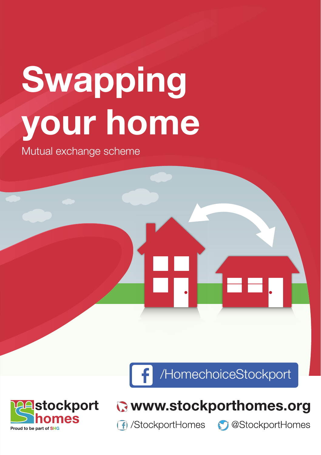# Swapping your home

Mutual exchange scheme

/HomechoiceStockport



## C www.stockporthomes.org

**f** /StockportHomes

**C** @StockportHomes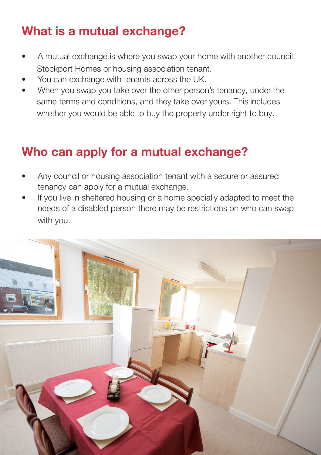### What is a mutual exchange?

- A mutual exchange is where you swap your home with another council, Stockport Homes or housing association tenant.
- You can exchange with tenants across the UK.
- When you swap you take over the other person's tenancy, under the same terms and conditions, and they take over yours. This includes whether you would be able to buy the property under right to buy.

#### Who can apply for a mutual exchange?

- Any council or housing association tenant with a secure or assured tenancy can apply for a mutual exchange.
- If you live in sheltered housing or a home specially adapted to meet the needs of a disabled person there may be restrictions on who can swap with you.

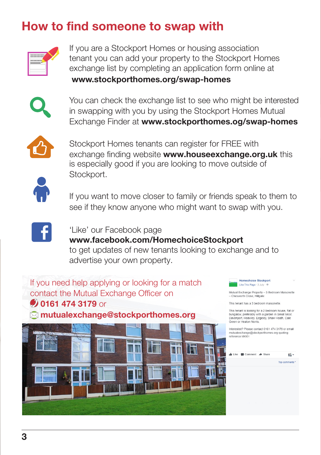#### How to find someone to swap with



If you are a Stockport Homes or housing association tenant you can add your property to the Stockport Homes exchange list by completing an application form online at www.stockporthomes.org/swap-homes



You can check the exchange list to see who might be interested in swapping with you by using the Stockport Homes Mutual Exchange Finder at www.stockporthomes.og/swap-homes



Stockport Homes tenants can register for FREE with exchange finding website www.**houseexchange.org.uk** this is especially good if you are looking to move outside of Stockport.



If you want to move closer to family or friends speak to them to see if they know anyone who might want to swap with you.



'Like' our Facebook page www.facebook.com/HomechoiceStockport to get updates of new tenants looking to exchange and to advertise your own property.

If you need help applying or looking for a match contact the Mutual Exchange Officer on **0161 474 3179 or** mutualexchange@stockporthomes.org



Mutual Exchange Property - 3 Bedroom Maisonette<br>- Chesworth Close, Hillgate

This tenant has a 3 bedroom maisonette

This tenant is looking for a 2 bedroom house, flat or<br>bungalow, preferably with a garden in Great Moor, Davenport, Heaviley. Edgeley, Shaw Heath, Cale Green or Heaton Norris.

Interested? Please contact 0161 474 3179 or email mutualexchange@stockporthomes.org.guoting reference MX001

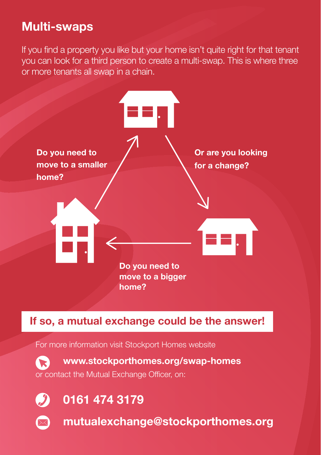#### Multi-swaps

If you find a property you like but your home isn't quite right for that tenant you can look for a third person to create a multi-swap. This is where three or more tenants all swap in a chain.



If so, a mutual exchange could be the answer!

For more information visit Stockport Homes website

www.stockporthomes.org/swap-homes or contact the Mutual Exchange Officer, on:



0161 474 3179



mutualexchange@stockporthomes.org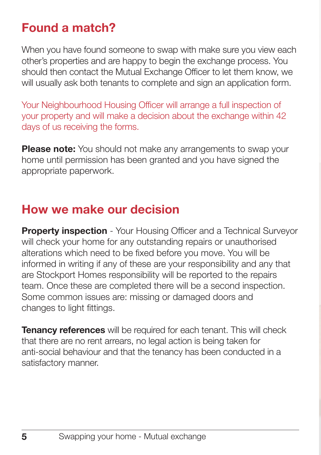#### Found a match?

When you have found someone to swap with make sure you view each other's properties and are happy to begin the exchange process. You should then contact the Mutual Exchange Officer to let them know, we will usually ask both tenants to complete and sign an application form.

Your Neighbourhood Housing Officer will arrange a full inspection of your property and will make a decision about the exchange within 42 days of us receiving the forms.

**Please note:** You should not make any arrangements to swap your home until permission has been granted and you have signed the appropriate paperwork.

### How we make our decision

#### Property inspection -MMM WOWWAY **TARITY MYYMYWWWWWWAYWAMI**

#### $\blacksquare$

informed in writing if any of these are your responsibility and any that are Stockport Homes responsibility will be reported to the repairs team. Once these are completed there will be a second inspection.<sup>10</sup> Some common issues are: missing or damaged doors and changes to light fittings.

**Tenancy references** will be required for each tenant. This will check that there are no rent arrears, no legal action is being taken for anti-social behaviour and that the tenancy has been conducted in a satisfactory manner.